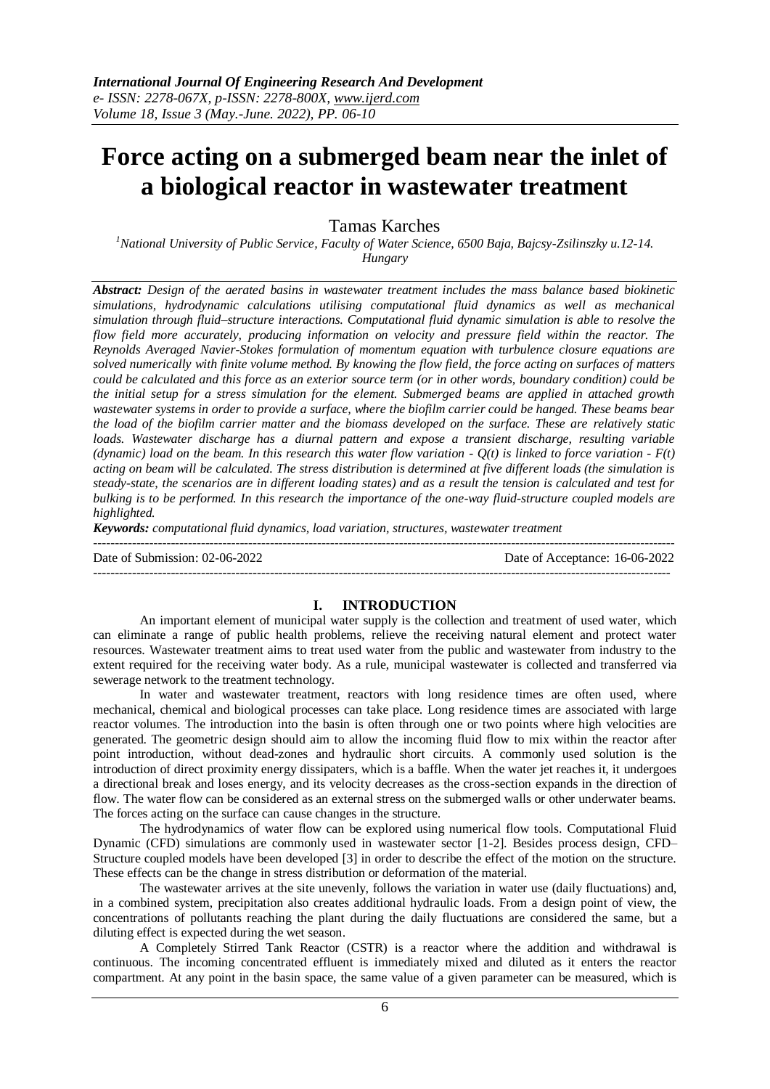# **Force acting on a submerged beam near the inlet of a biological reactor in wastewater treatment**

Tamas Karches

*<sup>1</sup>National University of Public Service, Faculty of Water Science, 6500 Baja, Bajcsy-Zsilinszky u.12-14. Hungary*

*Abstract: Design of the aerated basins in wastewater treatment includes the mass balance based biokinetic simulations, hydrodynamic calculations utilising computational fluid dynamics as well as mechanical simulation through fluid–structure interactions. Computational fluid dynamic simulation is able to resolve the flow field more accurately, producing information on velocity and pressure field within the reactor. The Reynolds Averaged Navier-Stokes formulation of momentum equation with turbulence closure equations are solved numerically with finite volume method. By knowing the flow field, the force acting on surfaces of matters could be calculated and this force as an exterior source term (or in other words, boundary condition) could be the initial setup for a stress simulation for the element. Submerged beams are applied in attached growth wastewater systems in order to provide a surface, where the biofilm carrier could be hanged. These beams bear the load of the biofilm carrier matter and the biomass developed on the surface. These are relatively static loads. Wastewater discharge has a diurnal pattern and expose a transient discharge, resulting variable (dynamic) load on the beam. In this research this water flow variation - Q(t) is linked to force variation - F(t) acting on beam will be calculated. The stress distribution is determined at five different loads (the simulation is steady-state, the scenarios are in different loading states) and as a result the tension is calculated and test for bulking is to be performed. In this research the importance of the one-way fluid-structure coupled models are highlighted.*

*Keywords: computational fluid dynamics, load variation, structures, wastewater treatment*

--------------------------------------------------------------------------------------------------------------------------------------- Date of Submission: 02-06-2022 Date of Acceptance: 16-06-2022 --------------------------------------------------------------------------------------------------------------------------------------

#### **I. INTRODUCTION**

An important element of municipal water supply is the collection and treatment of used water, which can eliminate a range of public health problems, relieve the receiving natural element and protect water resources. Wastewater treatment aims to treat used water from the public and wastewater from industry to the extent required for the receiving water body. As a rule, municipal wastewater is collected and transferred via sewerage network to the treatment technology.

In water and wastewater treatment, reactors with long residence times are often used, where mechanical, chemical and biological processes can take place. Long residence times are associated with large reactor volumes. The introduction into the basin is often through one or two points where high velocities are generated. The geometric design should aim to allow the incoming fluid flow to mix within the reactor after point introduction, without dead-zones and hydraulic short circuits. A commonly used solution is the introduction of direct proximity energy dissipaters, which is a baffle. When the water jet reaches it, it undergoes a directional break and loses energy, and its velocity decreases as the cross-section expands in the direction of flow. The water flow can be considered as an external stress on the submerged walls or other underwater beams. The forces acting on the surface can cause changes in the structure.

The hydrodynamics of water flow can be explored using numerical flow tools. Computational Fluid Dynamic (CFD) simulations are commonly used in wastewater sector [1-2]. Besides process design, CFD– Structure coupled models have been developed [3] in order to describe the effect of the motion on the structure. These effects can be the change in stress distribution or deformation of the material.

The wastewater arrives at the site unevenly, follows the variation in water use (daily fluctuations) and, in a combined system, precipitation also creates additional hydraulic loads. From a design point of view, the concentrations of pollutants reaching the plant during the daily fluctuations are considered the same, but a diluting effect is expected during the wet season.

A Completely Stirred Tank Reactor (CSTR) is a reactor where the addition and withdrawal is continuous. The incoming concentrated effluent is immediately mixed and diluted as it enters the reactor compartment. At any point in the basin space, the same value of a given parameter can be measured, which is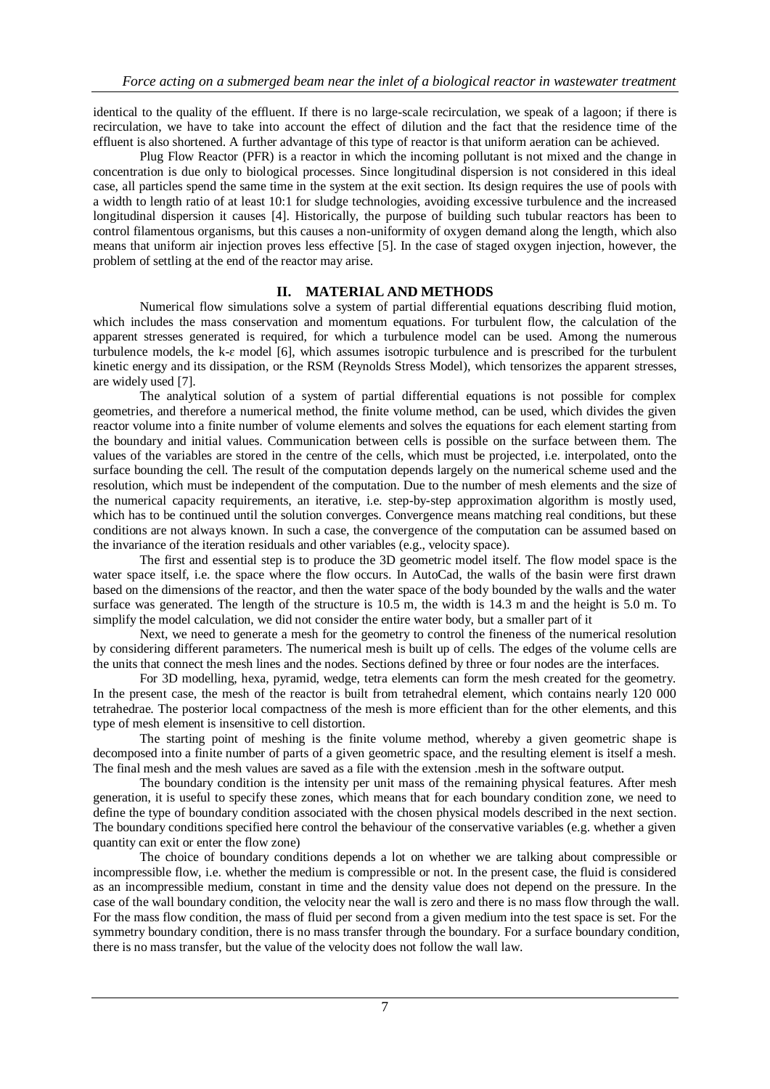identical to the quality of the effluent. If there is no large-scale recirculation, we speak of a lagoon; if there is recirculation, we have to take into account the effect of dilution and the fact that the residence time of the effluent is also shortened. A further advantage of this type of reactor is that uniform aeration can be achieved.

Plug Flow Reactor (PFR) is a reactor in which the incoming pollutant is not mixed and the change in concentration is due only to biological processes. Since longitudinal dispersion is not considered in this ideal case, all particles spend the same time in the system at the exit section. Its design requires the use of pools with a width to length ratio of at least 10:1 for sludge technologies, avoiding excessive turbulence and the increased longitudinal dispersion it causes [4]. Historically, the purpose of building such tubular reactors has been to control filamentous organisms, but this causes a non-uniformity of oxygen demand along the length, which also means that uniform air injection proves less effective [5]. In the case of staged oxygen injection, however, the problem of settling at the end of the reactor may arise.

## **II. MATERIAL AND METHODS**

Numerical flow simulations solve a system of partial differential equations describing fluid motion, which includes the mass conservation and momentum equations. For turbulent flow, the calculation of the apparent stresses generated is required, for which a turbulence model can be used. Among the numerous turbulence models, the k-ɛ model [6], which assumes isotropic turbulence and is prescribed for the turbulent kinetic energy and its dissipation, or the RSM (Reynolds Stress Model), which tensorizes the apparent stresses, are widely used [7].

The analytical solution of a system of partial differential equations is not possible for complex geometries, and therefore a numerical method, the finite volume method, can be used, which divides the given reactor volume into a finite number of volume elements and solves the equations for each element starting from the boundary and initial values. Communication between cells is possible on the surface between them. The values of the variables are stored in the centre of the cells, which must be projected, i.e. interpolated, onto the surface bounding the cell. The result of the computation depends largely on the numerical scheme used and the resolution, which must be independent of the computation. Due to the number of mesh elements and the size of the numerical capacity requirements, an iterative, i.e. step-by-step approximation algorithm is mostly used, which has to be continued until the solution converges. Convergence means matching real conditions, but these conditions are not always known. In such a case, the convergence of the computation can be assumed based on the invariance of the iteration residuals and other variables (e.g., velocity space).

The first and essential step is to produce the 3D geometric model itself. The flow model space is the water space itself, i.e. the space where the flow occurs. In AutoCad, the walls of the basin were first drawn based on the dimensions of the reactor, and then the water space of the body bounded by the walls and the water surface was generated. The length of the structure is 10.5 m, the width is 14.3 m and the height is 5.0 m. To simplify the model calculation, we did not consider the entire water body, but a smaller part of it

Next, we need to generate a mesh for the geometry to control the fineness of the numerical resolution by considering different parameters. The numerical mesh is built up of cells. The edges of the volume cells are the units that connect the mesh lines and the nodes. Sections defined by three or four nodes are the interfaces.

For 3D modelling, hexa, pyramid, wedge, tetra elements can form the mesh created for the geometry. In the present case, the mesh of the reactor is built from tetrahedral element, which contains nearly 120 000 tetrahedrae. The posterior local compactness of the mesh is more efficient than for the other elements, and this type of mesh element is insensitive to cell distortion.

The starting point of meshing is the finite volume method, whereby a given geometric shape is decomposed into a finite number of parts of a given geometric space, and the resulting element is itself a mesh. The final mesh and the mesh values are saved as a file with the extension .mesh in the software output.

The boundary condition is the intensity per unit mass of the remaining physical features. After mesh generation, it is useful to specify these zones, which means that for each boundary condition zone, we need to define the type of boundary condition associated with the chosen physical models described in the next section. The boundary conditions specified here control the behaviour of the conservative variables (e.g. whether a given quantity can exit or enter the flow zone)

The choice of boundary conditions depends a lot on whether we are talking about compressible or incompressible flow, i.e. whether the medium is compressible or not. In the present case, the fluid is considered as an incompressible medium, constant in time and the density value does not depend on the pressure. In the case of the wall boundary condition, the velocity near the wall is zero and there is no mass flow through the wall. For the mass flow condition, the mass of fluid per second from a given medium into the test space is set. For the symmetry boundary condition, there is no mass transfer through the boundary. For a surface boundary condition, there is no mass transfer, but the value of the velocity does not follow the wall law.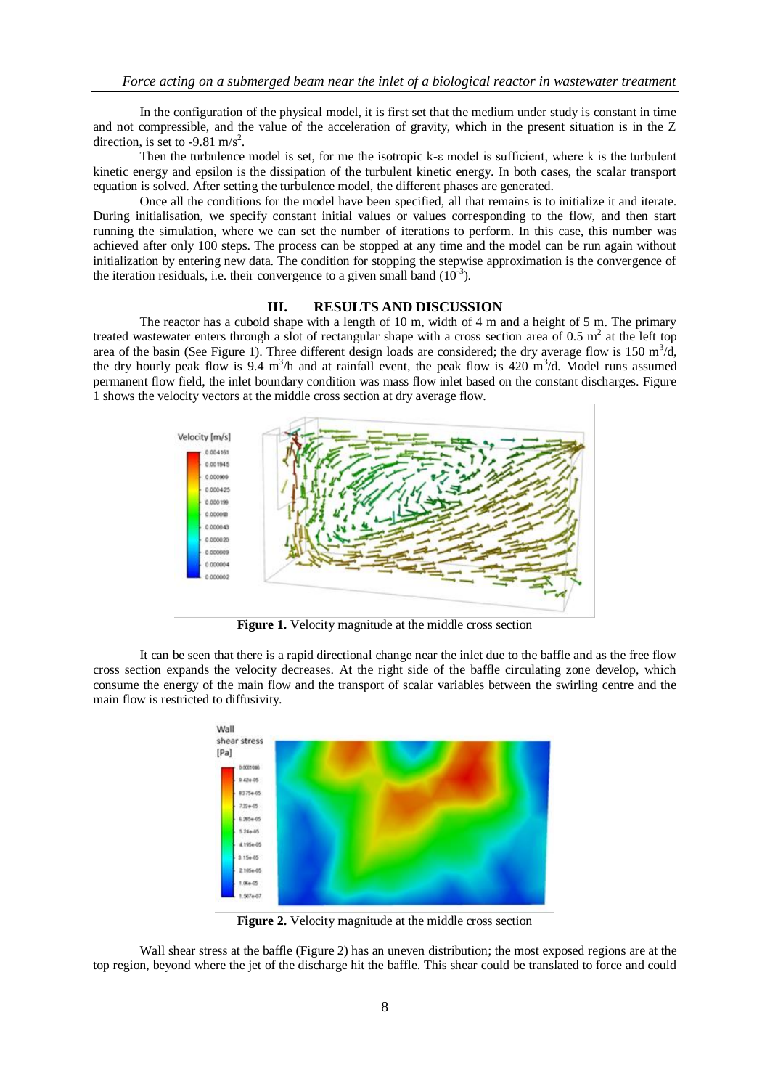In the configuration of the physical model, it is first set that the medium under study is constant in time and not compressible, and the value of the acceleration of gravity, which in the present situation is in the Z direction, is set to -9.81 m/s<sup>2</sup>.

Then the turbulence model is set, for me the isotropic  $k-\varepsilon$  model is sufficient, where k is the turbulent kinetic energy and epsilon is the dissipation of the turbulent kinetic energy. In both cases, the scalar transport equation is solved. After setting the turbulence model, the different phases are generated.

Once all the conditions for the model have been specified, all that remains is to initialize it and iterate. During initialisation, we specify constant initial values or values corresponding to the flow, and then start running the simulation, where we can set the number of iterations to perform. In this case, this number was achieved after only 100 steps. The process can be stopped at any time and the model can be run again without initialization by entering new data. The condition for stopping the stepwise approximation is the convergence of the iteration residuals, i.e. their convergence to a given small band  $(10^{-3})$ .

#### **III. RESULTS AND DISCUSSION**

The reactor has a cuboid shape with a length of 10 m, width of 4 m and a height of 5 m. The primary treated wastewater enters through a slot of rectangular shape with a cross section area of 0.5  $m<sup>2</sup>$  at the left top area of the basin (See Figure 1). Three different design loads are considered; the dry average flow is 150  $m^3/d$ , the dry hourly peak flow is 9.4  $m^3/h$  and at rainfall event, the peak flow is 420  $m^3/d$ . Model runs assumed permanent flow field, the inlet boundary condition was mass flow inlet based on the constant discharges. Figure 1 shows the velocity vectors at the middle cross section at dry average flow.



**Figure 1.** Velocity magnitude at the middle cross section

It can be seen that there is a rapid directional change near the inlet due to the baffle and as the free flow cross section expands the velocity decreases. At the right side of the baffle circulating zone develop, which consume the energy of the main flow and the transport of scalar variables between the swirling centre and the main flow is restricted to diffusivity.



**Figure 2.** Velocity magnitude at the middle cross section

Wall shear stress at the baffle (Figure 2) has an uneven distribution; the most exposed regions are at the top region, beyond where the jet of the discharge hit the baffle. This shear could be translated to force and could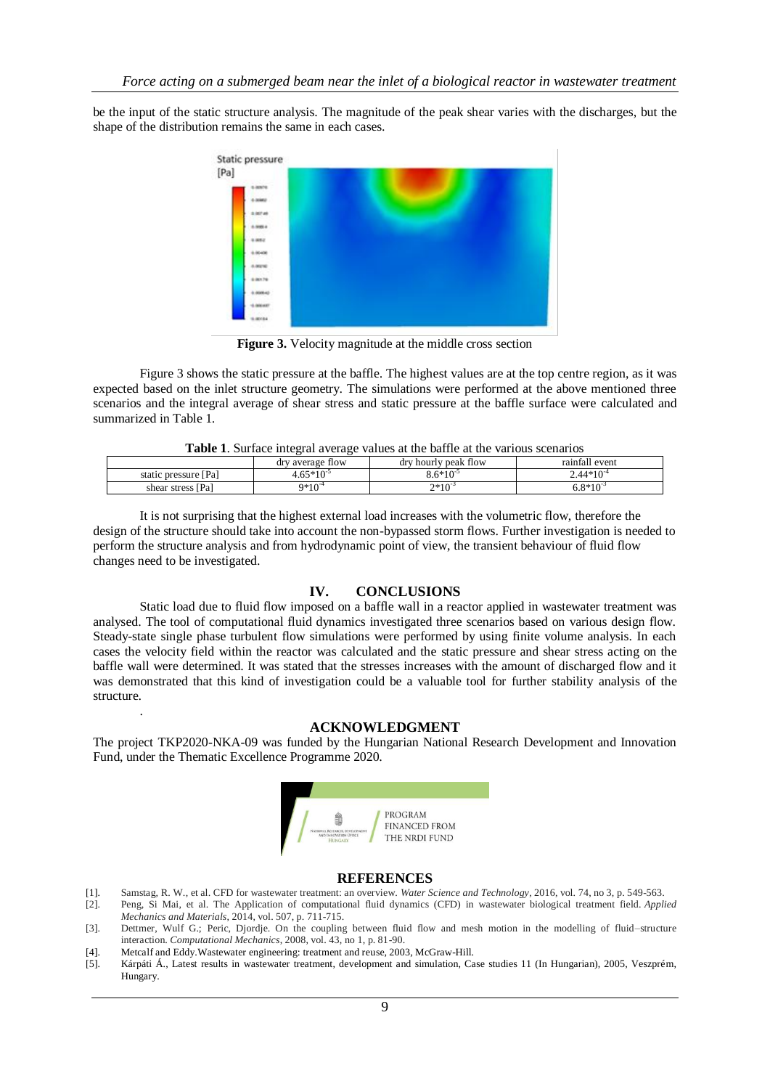be the input of the static structure analysis. The magnitude of the peak shear varies with the discharges, but the shape of the distribution remains the same in each cases.



**Figure 3.** Velocity magnitude at the middle cross section

Figure 3 shows the static pressure at the baffle. The highest values are at the top centre region, as it was expected based on the inlet structure geometry. The simulations were performed at the above mentioned three scenarios and the integral average of shear stress and static pressure at the baffle surface were calculated and summarized in Table 1.

**Table 1**. Surface integral average values at the baffle at the various scenarios

| A WALLY AT MUNICULY INTERNATION TELECT THEMED AV VILV MANILE WE VILV THEIM ME METHANISM |                  |                      |                |
|-----------------------------------------------------------------------------------------|------------------|----------------------|----------------|
|                                                                                         | dry average flow | dry hourly peak flow | rainfall event |
| static pressure [Pa]                                                                    | $4.65*10^{-5}$   | $8.6*10^{-5}$        | $2.44*10^{-4}$ |
| shear stress [Pa]                                                                       | $9*10^{-4}$      | $2*10^{-3}$          | $0.8*10^{-3}$  |

It is not surprising that the highest external load increases with the volumetric flow, therefore the design of the structure should take into account the non-bypassed storm flows. Further investigation is needed to perform the structure analysis and from hydrodynamic point of view, the transient behaviour of fluid flow changes need to be investigated.

## **IV. CONCLUSIONS**

Static load due to fluid flow imposed on a baffle wall in a reactor applied in wastewater treatment was analysed. The tool of computational fluid dynamics investigated three scenarios based on various design flow. Steady-state single phase turbulent flow simulations were performed by using finite volume analysis. In each cases the velocity field within the reactor was calculated and the static pressure and shear stress acting on the baffle wall were determined. It was stated that the stresses increases with the amount of discharged flow and it was demonstrated that this kind of investigation could be a valuable tool for further stability analysis of the structure.

### **ACKNOWLEDGMENT**

The project TKP2020-NKA-09 was funded by the Hungarian National Research Development and Innovation Fund, under the Thematic Excellence Programme 2020.



#### **REFERENCES**

- [1]. Samstag, R. W., et al. CFD for wastewater treatment: an overview. *Water Science and Technology*, 2016, vol. 74, no 3, p. 549-563.
- [2]. Peng, Si Mai, et al. The Application of computational fluid dynamics (CFD) in wastewater biological treatment field. *Applied Mechanics and Materials*, 2014, vol. 507, p. 711-715.
- [3]. Dettmer, Wulf G.; Peric, Djordje. On the coupling between fluid flow and mesh motion in the modelling of fluid–structure interaction. *Computational Mechanics*, 2008, vol. 43, no 1, p. 81-90.
- [4]. Metcalf and Eddy.Wastewater engineering: treatment and reuse, 2003, McGraw-Hill.

.

[5]. Kárpáti Á., Latest results in wastewater treatment, development and simulation, Case studies 11 (In Hungarian), 2005, Veszprém, Hungary.